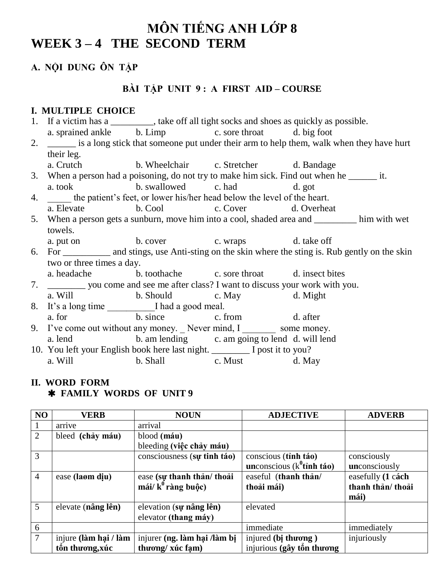# **MÔN TIẾNG ANH LỚP 8** WEEK 3-4 THE SECOND TERM

## **A. NỘI DUNG ÔN TẬP**

### **BÀI TÂP UNIT 9: A FIRST AID – COURSE**

#### **I. MULTIPLE CHOICE**

- 1. If a victim has a \_\_\_\_\_\_\_, take off all tight socks and shoes as quickly as possible.
	- a. sprained ankle b. Limp c. sore throat d. big foot
- 2. \_\_\_\_\_\_ is a long stick that someone put under their arm to help them, walk when they have hurt their leg.
	- a. Crutch b. Wheelchair c. Stretcher d. Bandage
- 3. When a person had a poisoning, do not try to make him sick. Find out when he \_\_\_\_\_\_ it.
- a. took b. swallowed c. had d. got
- 4. **EXAMPLE THE STATE OF THE STATE OF THE STATE OF THE STATE OF THE STATE OF THE STATE OF THE STATE OF THE STATE OF THE STATE OF THE STATE OF THE STATE OF THE STATE OF THE STATE OF THE STATE OF THE STATE OF THE STATE OF TH** a. Elevate b. Cool c. Cover d. Overheat
- 5. When a person gets a sunburn, move him into a cool, shaded area and \_\_\_\_\_\_\_\_\_ him with wet towels.
	- a. put on b. cover c. wraps d. take off
- 6. For \_\_\_\_\_\_\_\_\_\_ and stings, use Anti-sting on the skin where the sting is. Rub gently on the skin two or three times a day.
- a. headache b. toothache c. sore throat d. insect bites
- 7. \_\_\_\_\_\_\_\_ you come and see me after class? I want to discuss your work with you.
	- a. Will b. Should c. May d. Might
- 8. It's a long time I had a good meal. a. for b. since c. from d. after
- 9. I've come out without any money. Never mind, I some money. a. lend b. am lending c. am going to lend d. will lend
- 10. You left your English book here last night. \_\_\_\_\_\_\_\_ I post it to you? a. Will b. Shall c. Must d. May

### **II. WORD FORM FAMILY WORDS OF UNIT 9**

| NO              | <b>VERB</b>           | <b>NOUN</b>                     | <b>ADJECTIVE</b>              | <b>ADVERB</b>     |
|-----------------|-----------------------|---------------------------------|-------------------------------|-------------------|
|                 | arrive                | arrival                         |                               |                   |
| $\overline{2}$  | bleed (chảy máu)      | blood (máu)                     |                               |                   |
|                 |                       | bleeding (việc chảy máu)        |                               |                   |
| 3               |                       | consciousness (sy tinh táo)     | conscious (tinh táo)          | consciously       |
|                 |                       |                                 | unconscious ( $k^0$ tỉnh táo) | unconsciously     |
| $\overline{4}$  | ease (laom diu)       | ease (sự thanh thản/ thoải      | easeful (thanh thản/          | easefully (1 cách |
|                 |                       | mái/ $k^0$ ràng buộc)           | thoải mái)                    | thanh thản/ thoải |
|                 |                       |                                 |                               | mái)              |
| $5\overline{)}$ | elevate (nâng lên)    | elevation (s <b>y</b> nâng lên) | elevated                      |                   |
|                 |                       | elevator (thang máy)            |                               |                   |
| 6               |                       |                                 | immediate                     | immediately       |
| $\tau$          | injure (làm hại / làm | injurer (ng. làm hại /làm bị    | injured (bi thương)           | injuriously       |
|                 | tôn thương, xúc       | thương/xúc fạm)                 | injurious (gây tốn thương     |                   |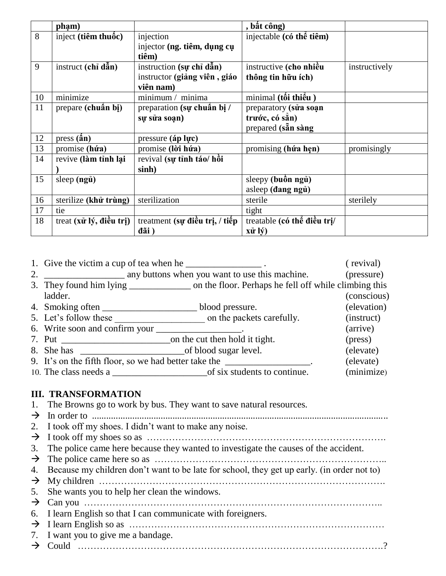|    | phạm)                                       |                                    | , bất công)                 |               |
|----|---------------------------------------------|------------------------------------|-----------------------------|---------------|
| 8  | inject (tiềm thuốc)                         | injection                          | injectable (có thể tiêm)    |               |
|    |                                             | injector (ng. tiêm, dụng cụ        |                             |               |
|    |                                             | tiêm)                              |                             |               |
| 9  | instruct (chỉ dẫn)                          | instruction (sw chỉ dẫn)           | instructive (cho nhiều      | instructively |
|    |                                             | instructor (giảng viên, giáo       | thông tin hữu ích)          |               |
|    |                                             | viên nam)                          |                             |               |
| 10 | minimize                                    | minimum / minima                   | minimal (tối thiểu)         |               |
| 11 | prepare (chuẩn bị)                          | preparation (s <b>u</b> chuẩn bị / | preparatory (sửa soạn       |               |
|    |                                             | sự sửa soạn)                       | trước, có sẵn)              |               |
|    |                                             |                                    | prepared (san sang          |               |
| 12 | $pres(\hat{a}n)$                            | pressure (áp lực)                  |                             |               |
| 13 | promise (húra)                              | promise (lời hứa)                  | promising (hứa hẹn)         | promisingly   |
| 14 | revive (làm tỉnh lại                        | revival (sự tỉnh táo/ hồi          |                             |               |
|    |                                             | sinh)                              |                             |               |
| 15 | sleep (ngủ)                                 |                                    | sleepy (buồn ngủ)           |               |
|    |                                             |                                    | asleep (dang ngủ)           |               |
| 16 | sterilize (khử trùng)                       | sterilization                      | sterile                     | sterilely     |
| 17 | tie                                         |                                    | tight                       |               |
| 18 | treat $(x\hat{u} \hat{v}, \hat{d} \hat{u})$ | treatment (sự điều trị, / tiếp     | treatable (có thể điều trị/ |               |
|    |                                             | đãi)                               | xử lý)                      |               |

| 1. Give the victim a cup of tea when he ___________________.                                  |                           | (revival)   |
|-----------------------------------------------------------------------------------------------|---------------------------|-------------|
|                                                                                               |                           | (pressure)  |
| 3. They found him lying _______________ on the floor. Perhaps he fell off while climbing this |                           |             |
| ladder.                                                                                       |                           | (conscious) |
|                                                                                               |                           | (elevation) |
| 5. Let's follow these                                                                         | on the packets carefully. | (instruct)  |
| 6. Write soon and confirm your _                                                              |                           | (arrive)    |
| 7. Put on the cut then hold it tight.                                                         |                           | (press)     |
|                                                                                               |                           | (elevate)   |
| 9. It's on the fifth floor, so we had better take the ________                                |                           | (elevate)   |
|                                                                                               |                           | (minimize)  |

#### **III. TRANSFORMATION**

|  | The Browns go to work by bus. They want to save natural resources. |  |
|--|--------------------------------------------------------------------|--|
|  |                                                                    |  |

| ∸ | In order to<br>- W |  |
|---|--------------------|--|
|---|--------------------|--|

- 2. I took off my shoes. I didn't want to make any noise.
- $\rightarrow$  I took off my shoes so as  $\ldots$   $\ldots$   $\ldots$   $\ldots$   $\ldots$   $\ldots$   $\ldots$   $\ldots$   $\ldots$   $\ldots$   $\ldots$   $\ldots$   $\ldots$
- 3. The police came here because they wanted to investigate the causes of the accident.
- $\rightarrow$  The police came here so as  $\ldots$   $\ldots$   $\ldots$   $\ldots$   $\ldots$   $\ldots$   $\ldots$   $\ldots$   $\ldots$   $\ldots$   $\ldots$   $\ldots$
- 4. Because my children don't want to be late for school, they get up early. (in order not to)
- $\rightarrow$  My children  $\ldots$   $\ldots$   $\ldots$   $\ldots$   $\ldots$   $\ldots$   $\ldots$   $\ldots$   $\ldots$   $\ldots$   $\ldots$   $\ldots$   $\ldots$   $\ldots$
- 5. She wants you to help her clean the windows.
- $\rightarrow$  Can you  $\ldots$   $\ldots$   $\ldots$   $\ldots$   $\ldots$   $\ldots$   $\ldots$   $\ldots$   $\ldots$   $\ldots$   $\ldots$   $\ldots$   $\ldots$   $\ldots$   $\ldots$   $\ldots$   $\ldots$   $\ldots$
- 6. I learn English so that I can communicate with foreigners.
- $\rightarrow$  I learn English so as  $\ldots$   $\ldots$   $\ldots$   $\ldots$   $\ldots$   $\ldots$   $\ldots$   $\ldots$   $\ldots$   $\ldots$   $\ldots$   $\ldots$   $\ldots$
- 7. I want you to give me a bandage.
- Could …………………………………………………………………………………….?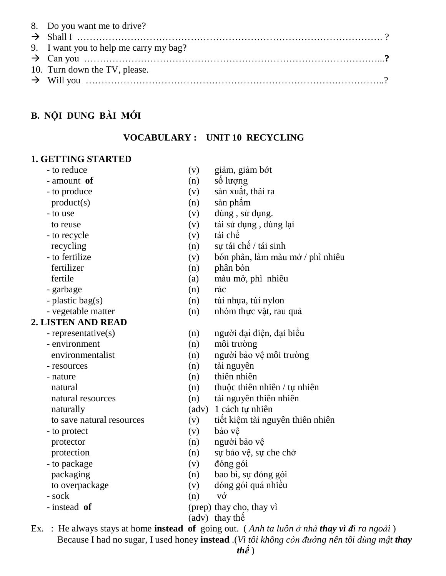| 8. Do you want me to drive?            |  |
|----------------------------------------|--|
|                                        |  |
| 9. I want you to help me carry my bag? |  |
|                                        |  |
| 10. Turn down the TV, please.          |  |
|                                        |  |

### **B. NỘI DUNG BÀI MỚI**

#### **VOCABULARY : UNIT 10 RECYCLING**

#### **1. GETTING STARTED**

- 
- 
- 
- 
- 
- 
- 
- 
- 
- 
- garbage (n) rác
- 
- 

#### **2. LISTEN AND READ**

- 
- 
- 
- 
- 
- 
- 
- 
- 
- 
- 
- 
- 
- 
- 
- 
- 
- 
- Ex. : He always stays at home **instead of** going out. (*Anh ta luôn ở nhà thay vì đi ra ngoài*) Because I had no sugar, I used honey **instead** .(*Vì tôi không còn đường nên tôi dùng mật thay*
- $th\acute{e}$ )
- to reduce (v) giảm, giảm bớt
- $-$  amount **of** (n) so luong
- to produce (v) san xuất, thai ra
- $product(s)$  (n) sån phâm
- to use (v) dùng, sử dụng.
- to reuse (v) tái sử dung, dùng lai
- $-$  to recycle  $(v)$  tái chế
- recycling  $(n)$  sự tái chế / tái sinh
- to fertilize  $(v)$  bón phân, làm màu mở / phì nhiêu
- fertilizer (n) phân bón
- fertile (a) màu mở, phì nhiêu
	-
- $-p$ lastic bag(s) (n) túi nhưa, túi nylon
- vegetable matter (n) nh m thực vật, rau quả
- $-$  representative(s) (n) người đai diễn, đai biểu
- environment (n) môi trường
- environmentalist (n) người bảo vệ môi trường
- resources (n) tài nguyên
- nature (n) thiên nhiên
- natural (n) thuộc thiên nhiên / tư nhiên
- natural resources (n) tài nguyên thiên nhiên
- naturally (adv) 1 cách tự nhiên
- to save natural resources  $(v)$  tiết kiệm tài nguyên thiên nhiên
- to protect (v) bảo vệ
- protector  $(n)$  người bảo vệ
- protection (n) su bảo về, su che chở
- to package (v) dóng gói
- packaging (n) bao bì, sự đóng gói
- to overpackage (v) dóng gói quá nhiều
- $-sock$  (n) v $\circ$
- instead **of** (prep) thay cho, thay vì
	- (adv) thay th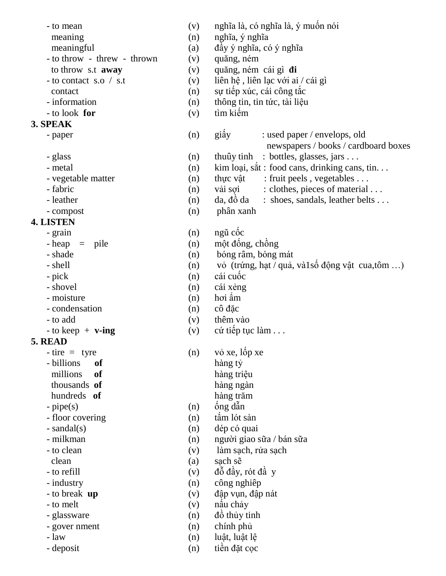- 
- 
- 
- $-$  to throw  $-$  threw  $-$  thrown  $(v)$  quăng, ném
	-
- 
- 
- 
- 

## **3. SPEAK**

- 
- 
- 
- 
- 
- 
- 

# **4. LISTEN**

- 
- 
- 
- 
- 
- 
- 
- 
- 

# **5. READ**

- 
- 
- 
- 
- 
- 
- 
- 
- 
- 
- 
- 
- 
- 
- 
- 
- 
- to mean  $(v)$  nghĩa là, có nghĩa là, ý muốn nói
- $meaning$  (n) nghĩa, ý nghĩa
- meaningful  $(a)$  dầy ý nghĩa, có ý nghĩa
	-
- to throw s.t **away** (v) quăng, ném cái gì **di**
- $-$  to contact s.o / s.t (v) liên hê, liên lac với ai / cái gì
- contact (n) sự tiếp xúc, cái công tắc
- information (n) thông tin, tin tức, tài liêu
- $-$  to look **for** (v) tìm kiếm
- paper (n) giây : used paper / envelops, old newspapers / books / cardboard boxes
- glass (n) thuûy tinh : bottles, glasses, jars . . .
- metal (n) kim loại, sắt : food cans, drinking cans, tin. . .
- vegetable matter (n) thus vật : fruit peels, vegetables ...
- fabric (n) vai soi : clothes, pieces of material ...
- leather  $(n)$  da,  $d\hat{\theta}$  da : shoes, sandals, leather belts ...
- compost (n) phân xanh
- $-$  grain (n) ngũ cốc
- $-\text{heap} = \text{pile}$  (n) một đống, chồng
- shade (n) bóng râm, bóng mát
- $-$  shell (n) vo (trứng, hạt / quả, và 1số động vật cua,tôm ...)
- $-pick$  (n) cái cuốc
- shovel (n) cái x eng
- $-$  moisture (n) hơi âm
- condensation (n) cô đặc
- to add (v) thêm vào
- $-$  to keep  $+$  **v-ing** (v) cú tiếp tục làm . . .
- $-$  tire = tyre (n) v<sup> $\dot{o}$ </sup> xe, l  $\dot{o}$  p xe - billions **of** hàng tỷ millions of hàng triều **thousands** of hang ngan *hundreds* of hang trăm
- $-pipe(s)$  (n)  $\hat{O}ng d\hat{a}n$
- floor covering (n) tâm lót sàn
- sandal(s) (n) dép có quai
- milkman (n) người giao sữa / bán sữa
- to clean (v) làm sach, rửa sach
- clean (a) sach se
- $-$  to refill  $(v)$   $d\delta d\dot{q}y$ , rót  $d\dot{q}y$
- industry (n) công nghiêp
- to break **up** (v) dập vụn, đập nát
- $-$  to melt (v) nấu chảy
- $-$  glassware (n)  $d\hat{\theta}$  thủy tinh
- gover nment (n) chính phủ
- law (n) luât, luât lê
- deposit (n) tiền đặt cọc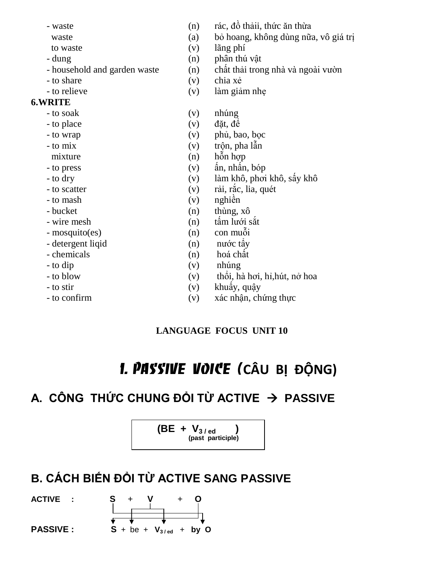- 
- 
- 
- 
- 
- 
- 

## **6.WRITE**

- 
- 
- 
- 
- 
- 
- 
- 
- 
- 
- 
- 
- detergent liqid (n) nuóc tây
- 
- 
- 
- 
- 
- waste  $(n)$  rác, đồ thải, thức ăn thừa
	- waste (a) bỏ hoang, không dùng nữa, vô giá trị
- to waste (v) lãng phí
- dung (n) phân thú vật
- household and garden waste  $(n)$  chất thải trong nhà và ngoài vườn
- to share (v) chia xé
- to relieve (v) làm giảm nhẹ
- to soak (v) nhúng
- $\sim$  to place (v) dăt, dê
- to wrap (v) phủ, bao, bọc
- $-$  to mix (v) trộn, pha lẫn
- mixture  $(n)$  h  $\tilde{0}n$  h  $\tilde{0}p$
- $-$  to press (v)  $\hat{a}n$ , nh $\hat{a}n$ , b op
- $-$  to dry  $($ v $)$  làm khô, phơi khô, sấy khô
- $-$  to scatter  $($ v $)$  råi, råc, lia, quét
- $-$  to mash  $(v)$  nghiền
- bucket (n) thung,  $x\hat{o}$
- $-$  wire mesh  $(n)$  tấm lưới sắt
- $-mosquito(es)$  (n) con muỗi
	-
- $-$  chemicals (n) hoá chất
- to dip (v) nhúng
- $-$  to blow  $(v)$  thổi, hà hơi, hỉ, hút, nở hoa
- $-$  to stir  $(v)$  khuẩy, quây
- to confirm (v) xác nhận, chứng thực

# **LANGUAGE FOCUS UNIT 10**

# **1. PASSIVE VOICE (CÂU BỊ ĐỘNG)**

# **A. CÔNG THỨC CHUNG ĐỔI TỪ ACTIVE → PASSIVE**



# **B. CÁCH BIẾN ĐỔI TỪ ACTIVE SANG PASSIVE**

**ACTIVE :** 

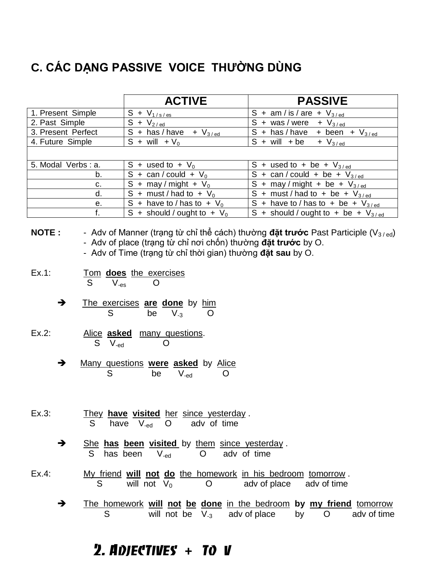# **C. CÁC DẠNG PASSIVE VOICE THƯỜNG DÙNG**

|                    | <b>ACTIVE</b>                      | <b>PASSIVE</b>                                                          |  |
|--------------------|------------------------------------|-------------------------------------------------------------------------|--|
| 1. Present Simple  | $S + V_{1/s/es}$                   | S + am / is / are + $V_{3/ed}$                                          |  |
| 2. Past Simple     | $S + V_{2/ed}$                     | S + was/were + $V_{3/ed}$                                               |  |
| 3. Present Perfect | $S +$ has / have<br>$+$ $V_{3/ed}$ | S + has/have + been + $V_{3/ed}$                                        |  |
| 4. Future Simple   | $S + will + V_0$                   | $S + will + be + V_{3/ed}$                                              |  |
|                    |                                    |                                                                         |  |
| 5. Modal Verbs: a. | $S +$ used to + $V_0$              | S + used to + be + $V_{3/ed}$                                           |  |
| b.                 | $S + can / could + V_0$            | S + can/could + be + $V_{3/ed}$                                         |  |
| c.                 | S + may / might + $V_0$            | $\overline{S}$ + may / might + be + $V_{3/ed}$                          |  |
| d.                 | S + must / had to + $V_0$          | S + must/had to + be + $V_{3/ed}$                                       |  |
| е.                 | S + have to / has to + $V_0$       | $\overline{S + \text{have to}} / \text{has to + be + } V_{3/\text{ed}}$ |  |
| f.                 | S + should / ought to + $V_0$      | S + should / ought to + be + $V_{3/ed}$                                 |  |

## **NOTE :** Adv of Manner (trạng từ chỉ thể cách) thường **đặt trước** Past Participle (V<sub>3/ed</sub>) - Adv of place (trang từ chỉ nơi chốn) thường **đặt trước** by O.

- Adv of Time (trang từ chỉ thời gian) thường **đặt sau** by O.
- Ex.1: Tom **does** the exercises  $S \tV_{-es} \tO$ 
	- The exercises **are done** by him S be  $V_{-3}$  O
- Ex.2: Alice **asked** many questions. S V<sub>-ed</sub> O
	- $\rightarrow$  Many questions were asked by Alice S be V<sub>-ed</sub> O
- Ex.3: They **have visited** her since yesterday . S have V-ed O adv of time
	- $\rightarrow$  She has been visited by them since yesterday. S has been V<sub>-ed</sub> O adv of time
- Ex.4: My friend **will not do** the homework in his bedroom tomorrow . S will not  $V_0$  O adv of place adv of time
	- The homework **will not be done** in the bedroom **by my friend** tomorrow S will not be  $V_{-3}$  adv of place by  $O$  adv of time

# *2. Adjectives* **+** *to v*